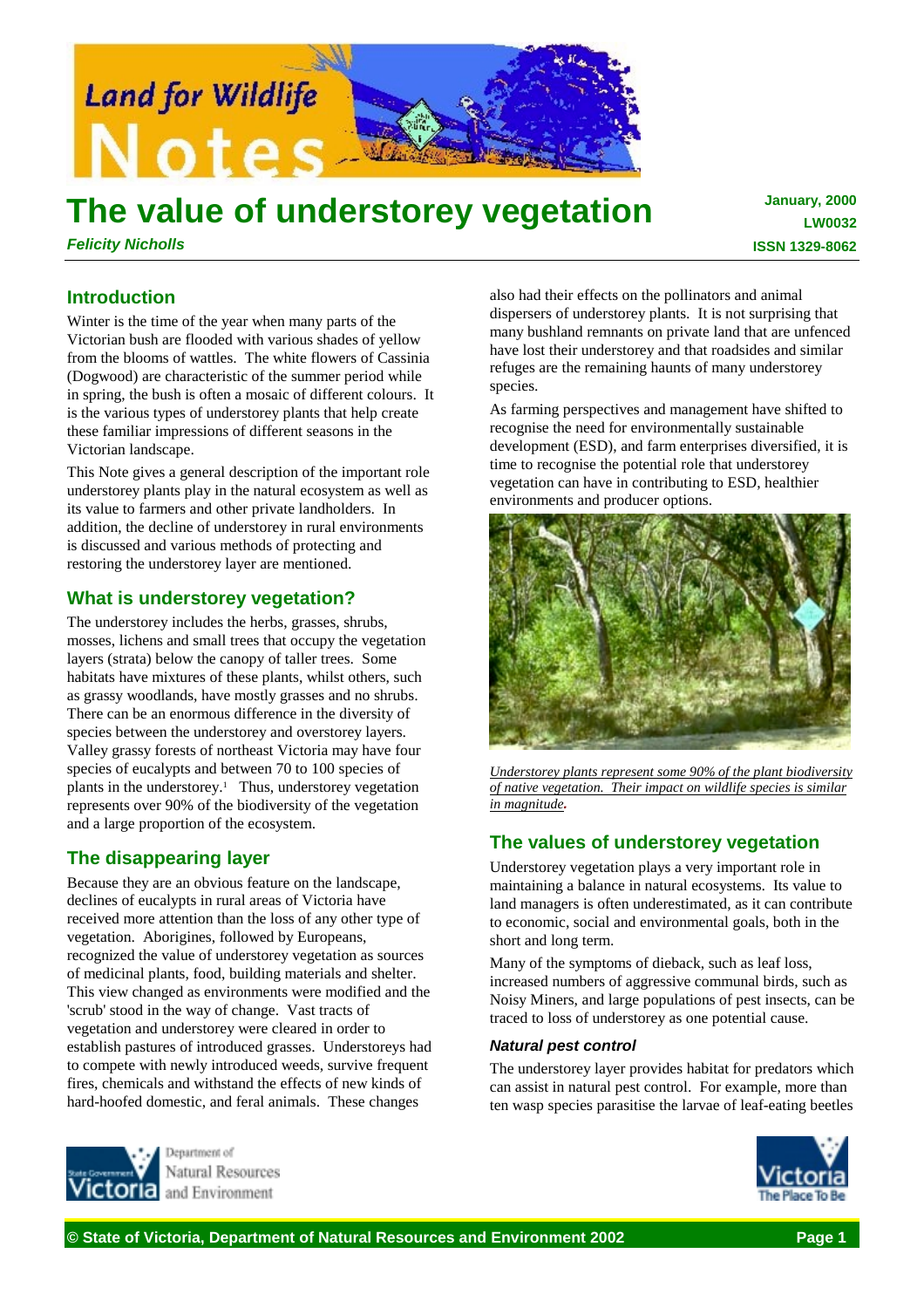

# **The value of understorey vegetation**

*Felicity Nicholls*

**January, 2000 LW0032 ISSN 1329-8062**

# **Introduction**

Winter is the time of the year when many parts of the Victorian bush are flooded with various shades of yellow from the blooms of wattles. The white flowers of Cassinia (Dogwood) are characteristic of the summer period while in spring, the bush is often a mosaic of different colours. It is the various types of understorey plants that help create these familiar impressions of different seasons in the Victorian landscape.

This Note gives a general description of the important role understorey plants play in the natural ecosystem as well as its value to farmers and other private landholders. In addition, the decline of understorey in rural environments is discussed and various methods of protecting and restoring the understorey layer are mentioned.

# **What is understorey vegetation?**

The understorey includes the herbs, grasses, shrubs, mosses, lichens and small trees that occupy the vegetation layers (strata) below the canopy of taller trees. Some habitats have mixtures of these plants, whilst others, such as grassy woodlands, have mostly grasses and no shrubs. There can be an enormous difference in the diversity of species between the understorey and overstorey layers. Valley grassy forests of northeast Victoria may have four species of eucalypts and between 70 to 100 species of plants in the understorey.<sup>1</sup> Thus, understorey vegetation represents over 90% of the biodiversity of the vegetation and a large proportion of the ecosystem.

# **The disappearing layer**

Because they are an obvious feature on the landscape, declines of eucalypts in rural areas of Victoria have received more attention than the loss of any other type of vegetation. Aborigines, followed by Europeans, recognized the value of understorey vegetation as sources of medicinal plants, food, building materials and shelter. This view changed as environments were modified and the 'scrub' stood in the way of change. Vast tracts of vegetation and understorey were cleared in order to establish pastures of introduced grasses. Understoreys had to compete with newly introduced weeds, survive frequent fires, chemicals and withstand the effects of new kinds of hard-hoofed domestic, and feral animals. These changes



As farming perspectives and management have shifted to recognise the need for environmentally sustainable development (ESD), and farm enterprises diversified, it is time to recognise the potential role that understorey vegetation can have in contributing to ESD, healthier environments and producer options.



*Understorey plants represent some 90% of the plant biodiversity of native vegetation. Their impact on wildlife species is similar in magnitude.*

# **The values of understorey vegetation**

Understorey vegetation plays a very important role in maintaining a balance in natural ecosystems. Its value to land managers is often underestimated, as it can contribute to economic, social and environmental goals, both in the short and long term.

Many of the symptoms of dieback, such as leaf loss, increased numbers of aggressive communal birds, such as Noisy Miners, and large populations of pest insects, can be traced to loss of understorey as one potential cause.

## *Natural pest control*

The understorey layer provides habitat for predators which can assist in natural pest control. For example, more than ten wasp species parasitise the larvae of leaf-eating beetles



Natural Resources and Environment

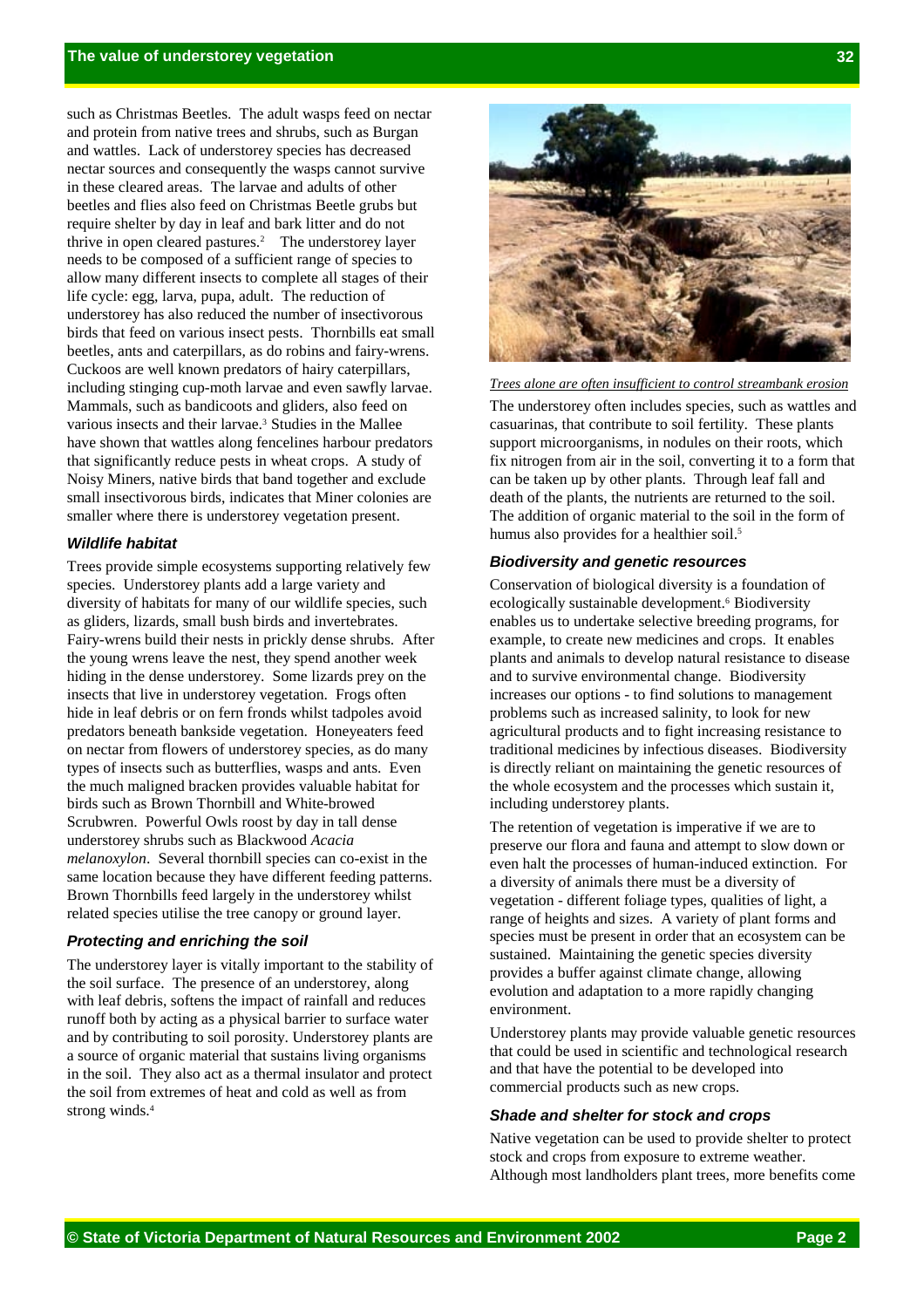such as Christmas Beetles. The adult wasps feed on nectar and protein from native trees and shrubs, such as Burgan and wattles. Lack of understorey species has decreased nectar sources and consequently the wasps cannot survive in these cleared areas. The larvae and adults of other beetles and flies also feed on Christmas Beetle grubs but require shelter by day in leaf and bark litter and do not thrive in open cleared pastures.2 The understorey layer needs to be composed of a sufficient range of species to allow many different insects to complete all stages of their life cycle: egg, larva, pupa, adult. The reduction of understorey has also reduced the number of insectivorous birds that feed on various insect pests. Thornbills eat small beetles, ants and caterpillars, as do robins and fairy-wrens. Cuckoos are well known predators of hairy caterpillars, including stinging cup-moth larvae and even sawfly larvae. Mammals, such as bandicoots and gliders, also feed on various insects and their larvae.3 Studies in the Mallee have shown that wattles along fencelines harbour predators that significantly reduce pests in wheat crops. A study of Noisy Miners, native birds that band together and exclude small insectivorous birds, indicates that Miner colonies are smaller where there is understorey vegetation present.

## *Wildlife habitat*

Trees provide simple ecosystems supporting relatively few species. Understorey plants add a large variety and diversity of habitats for many of our wildlife species, such as gliders, lizards, small bush birds and invertebrates. Fairy-wrens build their nests in prickly dense shrubs. After the young wrens leave the nest, they spend another week hiding in the dense understorey. Some lizards prey on the insects that live in understorey vegetation. Frogs often hide in leaf debris or on fern fronds whilst tadpoles avoid predators beneath bankside vegetation. Honeyeaters feed on nectar from flowers of understorey species, as do many types of insects such as butterflies, wasps and ants. Even the much maligned bracken provides valuable habitat for birds such as Brown Thornbill and White-browed Scrubwren. Powerful Owls roost by day in tall dense understorey shrubs such as Blackwood *Acacia melanoxylon*. Several thornbill species can co-exist in the same location because they have different feeding patterns. Brown Thornbills feed largely in the understorey whilst related species utilise the tree canopy or ground layer.

#### *Protecting and enriching the soil*

The understorey layer is vitally important to the stability of the soil surface. The presence of an understorey, along with leaf debris, softens the impact of rainfall and reduces runoff both by acting as a physical barrier to surface water and by contributing to soil porosity. Understorey plants are a source of organic material that sustains living organisms in the soil. They also act as a thermal insulator and protect the soil from extremes of heat and cold as well as from strong winds.4



*Trees alone are often insufficient to control streambank erosion* The understorey often includes species, such as wattles and casuarinas, that contribute to soil fertility. These plants support microorganisms, in nodules on their roots, which fix nitrogen from air in the soil, converting it to a form that can be taken up by other plants. Through leaf fall and death of the plants, the nutrients are returned to the soil. The addition of organic material to the soil in the form of humus also provides for a healthier soil.<sup>5</sup>

#### *Biodiversity and genetic resources*

Conservation of biological diversity is a foundation of ecologically sustainable development.<sup>6</sup> Biodiversity enables us to undertake selective breeding programs, for example, to create new medicines and crops. It enables plants and animals to develop natural resistance to disease and to survive environmental change. Biodiversity increases our options - to find solutions to management problems such as increased salinity, to look for new agricultural products and to fight increasing resistance to traditional medicines by infectious diseases. Biodiversity is directly reliant on maintaining the genetic resources of the whole ecosystem and the processes which sustain it, including understorey plants.

The retention of vegetation is imperative if we are to preserve our flora and fauna and attempt to slow down or even halt the processes of human-induced extinction. For a diversity of animals there must be a diversity of vegetation - different foliage types, qualities of light, a range of heights and sizes. A variety of plant forms and species must be present in order that an ecosystem can be sustained. Maintaining the genetic species diversity provides a buffer against climate change, allowing evolution and adaptation to a more rapidly changing environment.

Understorey plants may provide valuable genetic resources that could be used in scientific and technological research and that have the potential to be developed into commercial products such as new crops.

## *Shade and shelter for stock and crops*

Native vegetation can be used to provide shelter to protect stock and crops from exposure to extreme weather. Although most landholders plant trees, more benefits come